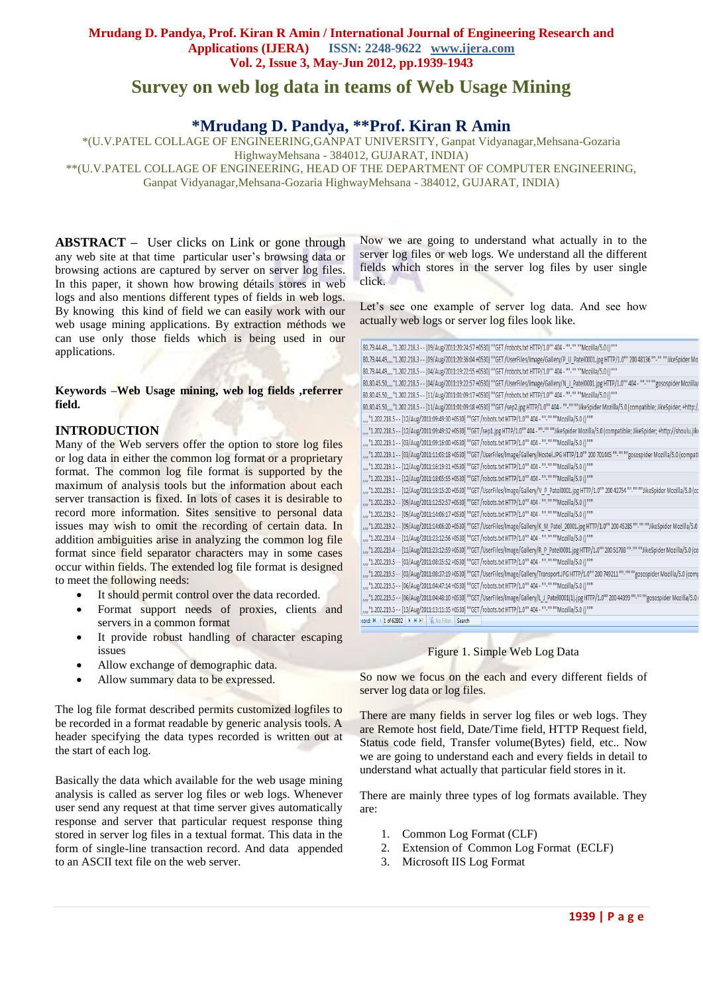# **Survey on web log data in teams of Web Usage Mining**

# **\*Mrudang D. Pandya, \*\*Prof. Kiran R Amin**

\*(U.V.PATEL COLLAGE OF ENGINEERING,GANPAT UNIVERSITY, Ganpat Vidyanagar,Mehsana-Gozaria HighwayMehsana - 384012, GUJARAT, INDIA)

\*\*(U.V.PATEL COLLAGE OF ENGINEERING, HEAD OF THE DEPARTMENT OF COMPUTER ENGINEERING,

Ganpat Vidyanagar,Mehsana-Gozaria HighwayMehsana - 384012, GUJARAT, INDIA)

**ABSTRACT –** User clicks on Link or gone through any web site at that time particular user's browsing data or browsing actions are captured by server on server log files. In this paper, it shown how browing détails stores in web logs and also mentions different types of fields in web logs. By knowing this kind of field we can easily work with our web usage mining applications. By extraction méthods we can use only those fields which is being used in our applications.

**Keywords –Web Usage mining, web log fields ,referrer field.**

## **INTRODUCTION**

Many of the Web servers offer the option to store log files or log data in either the [common log format](http://www.w3.org/pub/WWW/Daemon/User/Config/Logging.html#common_logfile_format) or a proprietary format. The common log file format is supported by the maximum of analysis tools but the information about each server transaction is fixed. In lots of cases it is desirable to record more information. Sites sensitive to personal data issues may wish to omit the recording of certain data. In addition ambiguities arise in analyzing the common log file format since field separator characters may in some cases occur within fields. The extended log file format is designed to meet the following needs:

- It should permit control over the data recorded.
- Format support needs of proxies, clients and servers in a common format
- It provide robust handling of character escaping issues
- Allow exchange of demographic data.
- Allow summary data to be expressed.

The log file format described permits customized logfiles to be recorded in a format readable by generic analysis tools. A header specifying the data types recorded is written out at the start of each log.

Basically the data which available for the web usage mining analysis is called as server log files or web logs. Whenever user send any request at that time server gives automatically response and server that particular request response thing stored in server log files in a textual format. This data in the form of single-line transaction record. And data appended to an ASCII text file on the web server.

Now we are going to understand what actually in to the server log files or web logs. We understand all the different fields which stores in the server log files by user single click.

Let's see one example of server log data. And see how actually web logs or server log files look like.

| 80.79.44.49,,,,"1.202.218.3 - - [09/Aug/2011:20:24:57 +0530] ""GET /robots.txt HTTP/1.0"" 404 - ""-"" ""Mozilla/5.0 ()"""                                      |
|----------------------------------------------------------------------------------------------------------------------------------------------------------------|
| 80.79.44.49,,,,"1.202.218.3 - - [09/Aug/2011:20:36:04 +0530] ""GET/UserFiles/Image/Gallery/P_U_Patel0001.jpg HTTP/1.0"" 200 48136 ""-"" ""JikeSpider Mo        |
| 80.79.44.49,,,,"1.202.218.5 - - [04/Aug/2011:19:22:55 +0530] ""GET /robots.txt HTTP/1.0"" 404 - ""-"" ""Mozilla/5.0 ()"""                                      |
| 80.80.45.50,,,,"1.202.218.5 - - [04/Aug/2011:19:22:57 +0530] ""GET/UserFiles/Image/Gallery/N J Patel0001.jpg HTTP/1.0"" 404 - ""-"" ""gosospider Mozilla/      |
| 80.80.45.50,,,,"1.202.218.5 - - [11/Aug/2011:01:09:17 +0530] ""GET /robots.txt HTTP/1.0"" 404 - ""-"" ""Mozilla/5.0 ()"""                                      |
| 80.80.45.50,,,,"1.202.218.5 - - [11/Aug/2011:01:09:18 +0530] ""GET/sep2.jpg HTTP/1.0"" 404 - ""-"" ""JikeSpider Mozilla/5.0 (compatible; JikeSpider; +http://  |
| ""1.202.218.5 - - [12/Aug/2011:09:49:30 +0530] ""GET /robots.txt HTTP/1.0"" 404 - ""-"" ""Mozilla/5.0 ()"""                                                    |
| ,,,,"1.202.218.5 - - [12/Aug/2011:09:49:32 +0530] ""GET /sep1.jpg HTTP/1.0"" 404 - ""-"" ""JikeSpider Mozilla/5.0 (compatible; JikeSpider; +http://shoulu.jike |
| "", "1.202.219.1 - - [03/Aug/2011:09:16:00 +0530] ""GET /robots.txt HTTP/1.0"" 404 - ""-"" ""Mozilla/5.0 ()""                                                  |
| ,,,,"1.202.219.1 - - [03/Aug/2011:11:03:18 +0530] ""GET /UserFiles/Image/Gallery/Hostel.JPG HTTP/1.0"" 200 701445 ""-"" ""gosospider Mozilla/5.0 (compati      |
| ""1.202.219.1 - - [12/Aug/2011:16:19:31 +0530] ""GET /robots.txt HTTP/1.0"" 404 - ""-"" ""Mozilla/5.0 ()"""                                                    |
| "",,,,"1.202.219.1 - - [12/Aug/2011:18:05:55 +0530] ""GET /robots.txt HTTP/1.0"" 404 - ""-"" ""Mozilla/5.0 ()""                                                |
| ,"1.202.219.1 - - [12/Aug/2011:18:15:20 +0530] ""GET /UserFiles/Image/Gallery/V_P_Patel0001.jpg HTTP/1.0"" 200 42754 ""-"" ""JikeSpider Mozilla/5.0 (cc        |
| ""1,202.219.2 - - [09/Aug/2011:12:52:57 +0530] ""GET /robots.txt HTTP/1.0"" 404 - ""-"" ""Mozilla/5.0 ()"""                                                    |
| "",,,,"1.202.219.2 - - [09/Aug/2011:14:06:17 +0530] ""GET /robots.txt HTTP/1.0"" 404 - ""-"" ""Mozilla/5.0 ()""                                                |
| ,,,,"1.202.219.2 - - [09/Aug/2011:14:06:20 +0530] ""GET /UserFiles/Image/Gallery/K_M_Patel_20001.jpg HTTP/1.0"" 200 45285 ""-"" ""JikeSpider Mozilla/5.0       |
| ""1.202.219.4 - - [11/Aug/2011:23:12:56 +0530] ""GET /robots.txt HTTP/1.0"" 404 - ""-"" ""Mozilla/5.0 ()"""                                                    |
| ,,,,"1.202.219.4 - - [11/Aug/2011:23:12:59 +0530] ""GET /UserFiles/Image/Gallery/R_P_Patel0001.jpg HTTP/1.0"" 200 51788 ""-"" ""JikeSpider Mozilla/5.0 (co     |
| ""1.202.219.5 - - [03/Aug/2011:08:35:52 +0530] ""GET /robots.txt HTTP/1.0"" 404 - ""-"" ""Mozilla/5.0 ()"""                                                    |
| ,,,,"1.202.219.5 - - [03/Aug/2011:08:37:19 +0530] ""GET /UserFiles/Image/Gallery/Transport.JPG HTTP/1.0"" 200 749211 ""-"" ""gosospider Mozilla/5.0 (comp      |
| "", "1.202.219.5 - - [06/Aug/2011:04:47:14 +0530] ""GET /robots.txt HTTP/1.0"" 404 - ""-"" ""Mozilla/5.0 ()""                                                  |
| ,,,,"1.202.219.5 - - [06/Aug/2011:04:48:10 +0530] ""GET /UserFiles/Image/Gallery/L J_Patel0001(1).jpg HTTP/1.0"" 200 44399 ""-"" ""gosospider Mozilla/5.0      |
| ,,,,"1.202.219.5 - - [13/Aug/2011:13:11:35 +0530] ""GET /robots.txt HTTP/1.0"" 404 - ""-"" ""Mozilla/5.0 ()"""                                                 |
| cord: IL 4 1 of 62802   N. H. H. W. No Filter Search                                                                                                           |

#### Figure 1. Simple Web Log Data

So now we focus on the each and every different fields of server log data or log files.

There are many fields in server log files or web logs. They are Remote host field, Date/Time field, HTTP Request field, Status code field, Transfer volume(Bytes) field, etc.. Now we are going to understand each and every fields in detail to understand what actually that particular field stores in it.

There are mainly three types of log formats available. They are:

- 1. Common Log Format (CLF)
- 2. Extension of Common Log Format (ECLF)
- 3. Microsoft IIS Log Format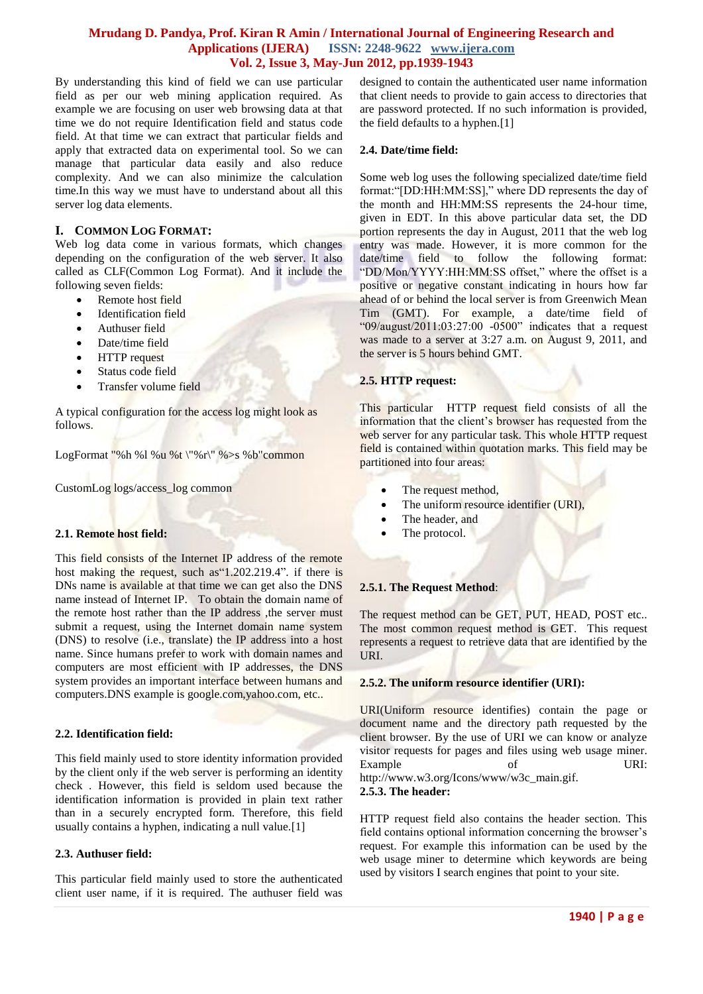By understanding this kind of field we can use particular field as per our web mining application required. As example we are focusing on user web browsing data at that time we do not require Identification field and status code field. At that time we can extract that particular fields and apply that extracted data on experimental tool. So we can manage that particular data easily and also reduce complexity. And we can also minimize the calculation time.In this way we must have to understand about all this server log data elements.

## **I. COMMON LOG FORMAT:**

Web log data come in various formats, which changes depending on the configuration of the web server. It also called as CLF(Common Log Format). And it include the following seven fields:

- Remote host field
- Identification field
- Authuser field
- Date/time field
- HTTP request
- Status code field
- Transfer volume field

A typical configuration for the access log might look as follows.

LogFormat "%h %l %u %t \"%r\" %>s %b"common

CustomLog logs/access\_log common

#### **2.1. Remote host field:**

This field consists of the Internet IP address of the remote host making the request, such as"1.202.219.4". if there is DNs name is available at that time we can get also the DNS name instead of Internet IP. To obtain the domain name of the remote host rather than the IP address , the server must submit a request, using the Internet domain name system (DNS) to resolve (i.e., translate) the IP address into a host name. Since humans prefer to work with domain names and computers are most efficient with IP addresses, the DNS system provides an important interface between humans and computers.DNS example is google.com,yahoo.com, etc..

#### **2.2. Identification field:**

This field mainly used to store identity information provided by the client only if the web server is performing an identity check . However, this field is seldom used because the identification information is provided in plain text rather than in a securely encrypted form. Therefore, this field usually contains a hyphen, indicating a null value.[1]

#### **2.3. Authuser field:**

This particular field mainly used to store the authenticated client user name, if it is required. The authuser field was designed to contain the authenticated user name information that client needs to provide to gain access to directories that are password protected. If no such information is provided, the field defaults to a hyphen.[1]

#### **2.4. Date/time field:**

Some web log uses the following specialized date/time field format:"[DD:HH:MM:SS]," where DD represents the day of the month and HH:MM:SS represents the 24-hour time, given in EDT. In this above particular data set, the DD portion represents the day in August, 2011 that the web log entry was made. However, it is more common for the date/time field to follow the following format: "DD/Mon/YYYY:HH:MM:SS offset," where the offset is a positive or negative constant indicating in hours how far ahead of or behind the local server is from Greenwich Mean Tim (GMT). For example, a date/time field of "09/august/2011:03:27:00 -0500" indicates that a request was made to a server at 3:27 a.m. on August 9, 2011, and the server is 5 hours behind GMT.

#### **2.5. HTTP request:**

This particular HTTP request field consists of all the information that the client's browser has requested from the web server for any particular task. This whole HTTP request field is contained within quotation marks. This field may be partitioned into four areas:

- The request method,
- The uniform resource identifier (URI),
- The header, and
- The protocol.

#### **2.5.1. The Request Method**:

The request method can be GET, PUT, HEAD, POST etc.. The most common request method is GET. This request represents a request to retrieve data that are identified by the URI.

#### **2.5.2. The uniform resource identifier (URI):**

URI(Uniform resource identifies) contain the page or document name and the directory path requested by the client browser. By the use of URI we can know or analyze visitor requests for pages and files using web usage miner. Example of URI: http://www.w3.org/Icons/www/w3c\_main.gif.

#### **2.5.3. The header:**

HTTP request field also contains the header section. This field contains optional information concerning the browser's request. For example this information can be used by the web usage miner to determine which keywords are being used by visitors I search engines that point to your site.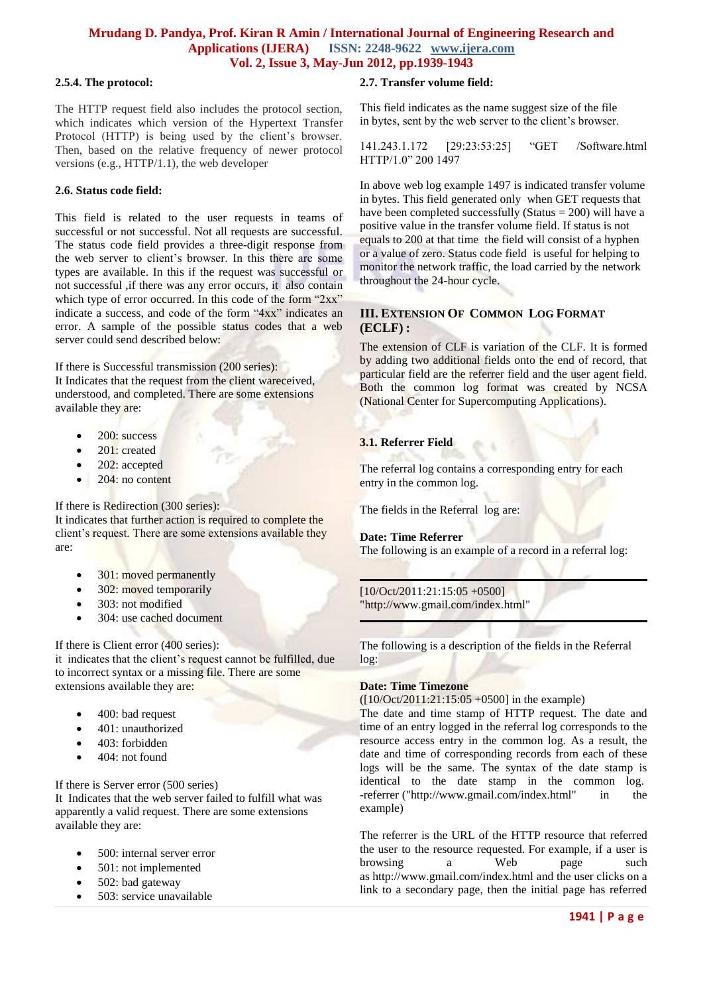#### **2.5.4. The protocol:**

The HTTP request field also includes the protocol section, which indicates which version of the Hypertext Transfer Protocol (HTTP) is being used by the client's browser. Then, based on the relative frequency of newer protocol versions (e.g., HTTP/1.1), the web developer

#### **2.6. Status code field:**

This field is related to the user requests in teams of successful or not successful. Not all requests are successful. The status code field provides a three-digit response from the web server to client's browser. In this there are some types are available. In this if the request was successful or not successful ,if there was any error occurs, it also contain which type of error occurred. In this code of the form "2xx" indicate a success, and code of the form "4xx" indicates an error. A sample of the possible status codes that a web server could send described below:

If there is Successful transmission (200 series): It Indicates that the request from the client wareceived, understood, and completed. There are some extensions available they are:

- $\bullet$  200: success
- 201: created
- 202: accepted
- 204: no content

If there is Redirection (300 series):

It indicates that further action is required to complete the client's request. There are some extensions available they are:

- 301: moved permanently
- 302: moved temporarily
- 303: not modified
- 304: use cached document

If there is Client error (400 series):

it indicates that the client's request cannot be fulfilled, due to incorrect syntax or a missing file. There are some extensions available they are:

- 400: bad request
- 401: unauthorized
- 403: forbidden
- 404: not found

If there is Server error (500 series)

It Indicates that the web server failed to fulfill what was apparently a valid request. There are some extensions available they are:

- 500: internal server error
- 501: not implemented
- 502: bad gateway
- 503: service unavailable

#### **2.7. Transfer volume field:**

This field indicates as the name suggest size of the file in bytes, sent by the web server to the client's browser.

141.243.1.172 [29:23:53:25] "GET /Software.html HTTP/1.0" 200 1497

In above web log example 1497 is indicated transfer volume in bytes. This field generated only when GET requests that have been completed successfully (Status = 200) will have a positive value in the transfer volume field. If status is not equals to 200 at that time the field will consist of a hyphen or a value of zero. Status code field is useful for helping to monitor the network traffic, the load carried by the network throughout the 24-hour cycle.

## **III. EXTENSION OF COMMON LOG FORMAT (ECLF) :**

The extension of CLF is variation of the CLF. It is formed by adding two additional fields onto the end of record, that particular field are the referrer field and the user agent field. Both the common log format was created by NCSA (National Center for Supercomputing Applications).

## **3.1. Referrer Field**

The referral log contains a corresponding entry for each entry in the common log.

The fields in the Referral log are:

#### **Date: Time Referrer**

The following is an example of a record in a referral log:

[10/Oct/2011:21:15:05 +0500] "http://www.gmail.com/index.html"

The following is a description of the fields in the Referral log:

#### **Date: Time Timezone**

([10/Oct/2011:21:15:05 +0500] in the example)

The date and time stamp of HTTP request. The date and time of an entry logged in the referral log corresponds to the resource access entry in the common log. As a result, the date and time of corresponding records from each of these logs will be the same. The syntax of the date stamp is identical to the date stamp in the common log. -referrer ("http://www.gmail.com/index.html" in the example)

The referrer is the URL of the HTTP resource that referred the user to the resource requested. For example, if a user is browsing a Web page such as http://www.gmail.com/index.html and the user clicks on a link to a secondary page, then the initial page has referred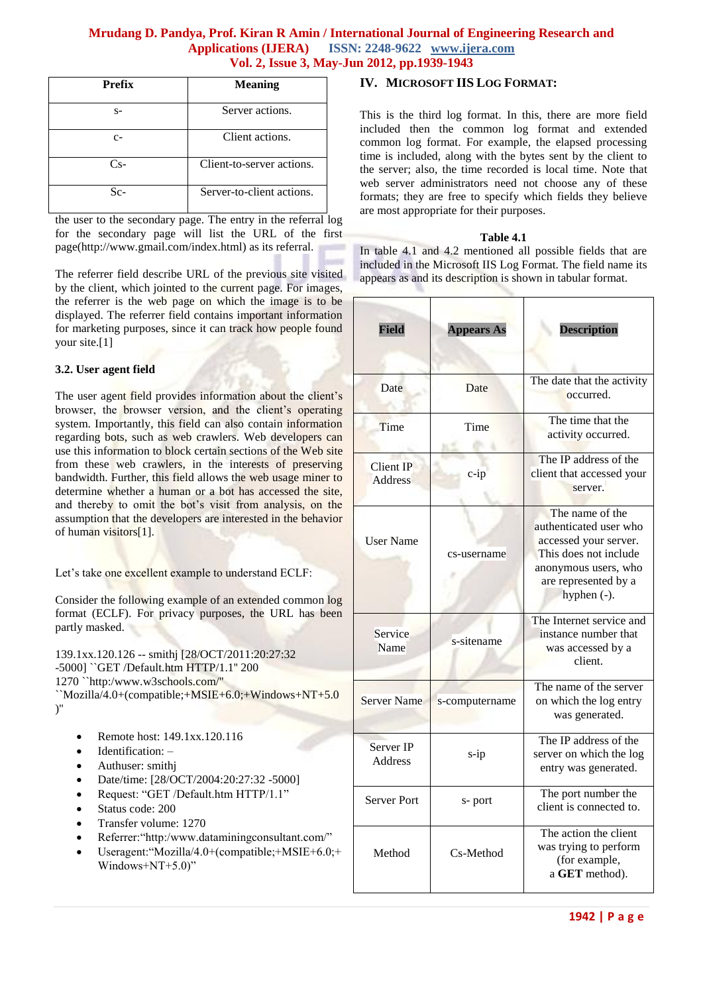| <b>Prefix</b> | <b>Meaning</b>            |
|---------------|---------------------------|
| $S-$          | Server actions.           |
| $C-$          | Client actions.           |
| $Cs-$         | Client-to-server actions. |
| $Sc-$         | Server-to-client actions. |

the user to the secondary page. The entry in the referral log for the secondary page will list the URL of the first page(http://www.gmail.com/index.html) as its referral.

The referrer field describe URL of the previous site visited by the client, which jointed to the current page. For images, the referrer is the web page on which the image is to be displayed. The referrer field contains important information for marketing purposes, since it can track how people found your site.[1]

## **3.2. User agent field**

The user agent field provides information about the client's browser, the browser version, and the client's operating system. Importantly, this field can also contain information regarding bots, such as web crawlers. Web developers can use this information to block certain sections of the Web site from these web crawlers, in the interests of preserving bandwidth. Further, this field allows the web usage miner to determine whether a human or a bot has accessed the site, and thereby to omit the bot's visit from analysis, on the assumption that the developers are interested in the behavior of human visitors[1].

Let's take one excellent example to understand ECLF:

Consider the following example of an extended common log format (ECLF). For privacy purposes, the URL has been partly masked.

139.1xx.120.126 -- smithj [28/OCT/2011:20:27:32 -5000] ``GET /Default.htm HTTP/1.1'' 200 1270 ``http:/www.w3schools.com/'' ``Mozilla/4.0+(compatible;+MSIE+6.0;+Windows+NT+5.0 )''

|  | Remote host: 149.1xx.120.116 |  |  |  |  |
|--|------------------------------|--|--|--|--|
|--|------------------------------|--|--|--|--|

- Identification: –
- Authuser: smithj
- Date/time: [28/OCT/2004:20:27:32 -5000]
- Request: "GET /Default.htm HTTP/1.1"
- Status code: 200
- Transfer volume: 1270
- Referrer:"http:/www.dataminingconsultant.com/"
- Useragent:"Mozilla/4.0+(compatible;+MSIE+6.0;+ Windows+NT+5.0)"

### **IV. MICROSOFT IIS LOG FORMAT:**

This is the third log format. In this, there are more field included then the common log format and extended common log format. For example, the elapsed processing time is included, along with the bytes sent by the client to the server; also, the time recorded is local time. Note that web server administrators need not choose any of these formats; they are free to specify which fields they believe are most appropriate for their purposes.

#### **Table 4.1**

In table 4.1 and 4.2 mentioned all possible fields that are included in the Microsoft IIS Log Format. The field name its appears as and its description is shown in tabular format.

| <b>Field</b>                | <b>Appears As</b> | <b>Description</b>                                                                                                                                            |  |
|-----------------------------|-------------------|---------------------------------------------------------------------------------------------------------------------------------------------------------------|--|
| Date                        | Date              | The date that the activity<br>occurred.                                                                                                                       |  |
| Time                        | Time              | The time that the<br>activity occurred.                                                                                                                       |  |
| Client IP<br><b>Address</b> | $c$ -ip           | The IP address of the<br>client that accessed your<br>server.                                                                                                 |  |
| <b>User Name</b>            | cs-username       | The name of the<br>authenticated user who<br>accessed your server.<br>This does not include<br>anonymous users, who<br>are represented by a<br>hyphen $(-)$ . |  |
| Service<br>Name             | s-sitename        | The Internet service and<br>instance number that<br>was accessed by a<br>client.                                                                              |  |
| <b>Server Name</b>          | s-computername    | The name of the server<br>on which the log entry<br>was generated.                                                                                            |  |
| Server IP<br><b>Address</b> | $s$ -ip           | The IP address of the<br>server on which the log<br>entry was generated.                                                                                      |  |
| <b>Server Port</b>          | s-port            | The port number the<br>client is connected to.                                                                                                                |  |
| Method                      | Cs-Method         | The action the client<br>was trying to perform<br>(for example,<br>a GET method).                                                                             |  |